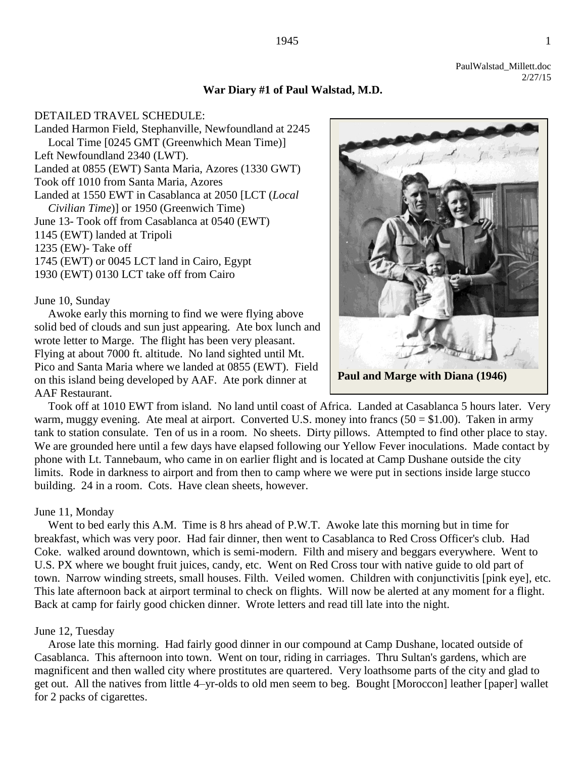# **War Diary #1 of Paul Walstad, M.D.**

DETAILED TRAVEL SCHEDULE: Landed Harmon Field, Stephanville, Newfoundland at 2245 Local Time [0245 GMT (Greenwhich Mean Time)] Left Newfoundland 2340 (LWT). Landed at 0855 (EWT) Santa Maria, Azores (1330 GWT) Took off 1010 from Santa Maria, Azores Landed at 1550 EWT in Casablanca at 2050 [LCT (*Local Civilian Time*)] or 1950 (Greenwich Time) June 13- Took off from Casablanca at 0540 (EWT) 1145 (EWT) landed at Tripoli 1235 (EW)- Take off 1745 (EWT) or 0045 LCT land in Cairo, Egypt 1930 (EWT) 0130 LCT take off from Cairo

#### June 10, Sunday

Awoke early this morning to find we were flying above solid bed of clouds and sun just appearing. Ate box lunch and wrote letter to Marge. The flight has been very pleasant. Flying at about 7000 ft. altitude. No land sighted until Mt. Pico and Santa Maria where we landed at 0855 (EWT). Field on this island being developed by AAF. Ate pork dinner at AAF Restaurant.

Took off at 1010 EWT from island. No land until coast of Africa. Landed at Casablanca 5 hours later. Very warm, muggy evening. Ate meal at airport. Converted U.S. money into francs  $(50 = $1.00)$ . Taken in army tank to station consulate. Ten of us in a room. No sheets. Dirty pillows. Attempted to find other place to stay. We are grounded here until a few days have elapsed following our Yellow Fever inoculations. Made contact by phone with Lt. Tannebaum, who came in on earlier flight and is located at Camp Dushane outside the city limits. Rode in darkness to airport and from then to camp where we were put in sections inside large stucco building. 24 in a room. Cots. Have clean sheets, however.

#### June 11, Monday

Went to bed early this A.M. Time is 8 hrs ahead of P.W.T. Awoke late this morning but in time for breakfast, which was very poor. Had fair dinner, then went to Casablanca to Red Cross Officer's club. Had Coke. walked around downtown, which is semi-modern. Filth and misery and beggars everywhere. Went to U.S. PX where we bought fruit juices, candy, etc. Went on Red Cross tour with native guide to old part of town. Narrow winding streets, small houses. Filth. Veiled women. Children with conjunctivitis [pink eye], etc. This late afternoon back at airport terminal to check on flights. Will now be alerted at any moment for a flight. Back at camp for fairly good chicken dinner. Wrote letters and read till late into the night.

#### June 12, Tuesday

Arose late this morning. Had fairly good dinner in our compound at Camp Dushane, located outside of Casablanca. This afternoon into town. Went on tour, riding in carriages. Thru Sultan's gardens, which are magnificent and then walled city where prostitutes are quartered. Very loathsome parts of the city and glad to get out. All the natives from little 4–yr-olds to old men seem to beg. Bought [Moroccon] leather [paper] wallet for 2 packs of cigarettes.

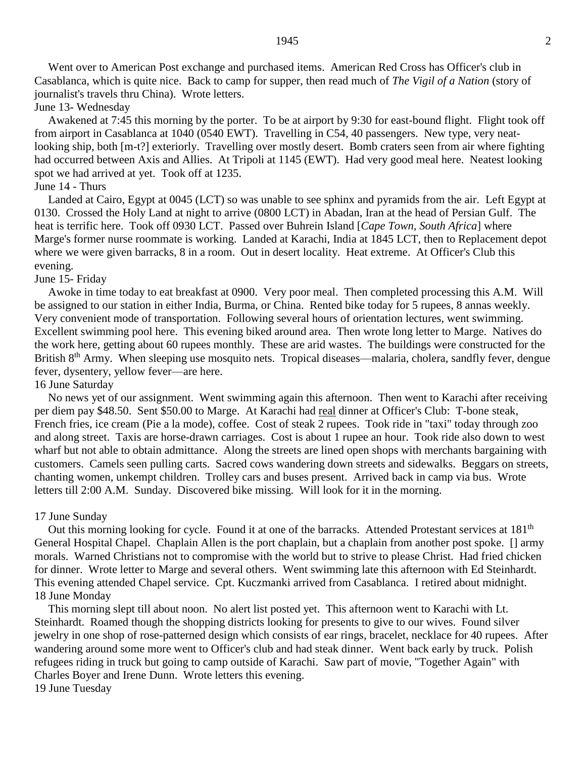Went over to American Post exchange and purchased items. American Red Cross has Officer's club in Casablanca, which is quite nice. Back to camp for supper, then read much of *The Vigil of a Nation* (story of journalist's travels thru China). Wrote letters.

June 13- Wednesday

Awakened at 7:45 this morning by the porter. To be at airport by 9:30 for east-bound flight. Flight took off from airport in Casablanca at 1040 (0540 EWT). Travelling in C54, 40 passengers. New type, very neatlooking ship, both [m-t?] exteriorly. Travelling over mostly desert. Bomb craters seen from air where fighting had occurred between Axis and Allies. At Tripoli at 1145 (EWT). Had very good meal here. Neatest looking spot we had arrived at yet. Took off at 1235.

# June 14 - Thurs

Landed at Cairo, Egypt at 0045 (LCT) so was unable to see sphinx and pyramids from the air. Left Egypt at 0130. Crossed the Holy Land at night to arrive (0800 LCT) in Abadan, Iran at the head of Persian Gulf. The heat is terrific here. Took off 0930 LCT. Passed over Buhrein Island [*Cape Town, South Africa*] where Marge's former nurse roommate is working. Landed at Karachi, India at 1845 LCT, then to Replacement depot where we were given barracks, 8 in a room. Out in desert locality. Heat extreme. At Officer's Club this evening.

#### June 15- Friday

Awoke in time today to eat breakfast at 0900. Very poor meal. Then completed processing this A.M. Will be assigned to our station in either India, Burma, or China. Rented bike today for 5 rupees, 8 annas weekly. Very convenient mode of transportation. Following several hours of orientation lectures, went swimming. Excellent swimming pool here. This evening biked around area. Then wrote long letter to Marge. Natives do the work here, getting about 60 rupees monthly. These are arid wastes. The buildings were constructed for the British 8<sup>th</sup> Army. When sleeping use mosquito nets. Tropical diseases—malaria, cholera, sandfly fever, dengue fever, dysentery, yellow fever—are here.

### 16 June Saturday

No news yet of our assignment. Went swimming again this afternoon. Then went to Karachi after receiving per diem pay \$48.50. Sent \$50.00 to Marge. At Karachi had real dinner at Officer's Club: T-bone steak, French fries, ice cream (Pie a la mode), coffee. Cost of steak 2 rupees. Took ride in "taxi" today through zoo and along street. Taxis are horse-drawn carriages. Cost is about 1 rupee an hour. Took ride also down to west wharf but not able to obtain admittance. Along the streets are lined open shops with merchants bargaining with customers. Camels seen pulling carts. Sacred cows wandering down streets and sidewalks. Beggars on streets, chanting women, unkempt children. Trolley cars and buses present. Arrived back in camp via bus. Wrote letters till 2:00 A.M. Sunday. Discovered bike missing. Will look for it in the morning.

#### 17 June Sunday

Out this morning looking for cycle. Found it at one of the barracks. Attended Protestant services at 181<sup>th</sup> General Hospital Chapel. Chaplain Allen is the port chaplain, but a chaplain from another post spoke. [] army morals. Warned Christians not to compromise with the world but to strive to please Christ. Had fried chicken for dinner. Wrote letter to Marge and several others. Went swimming late this afternoon with Ed Steinhardt. This evening attended Chapel service. Cpt. Kuczmanki arrived from Casablanca. I retired about midnight. 18 June Monday

This morning slept till about noon. No alert list posted yet. This afternoon went to Karachi with Lt. Steinhardt. Roamed though the shopping districts looking for presents to give to our wives. Found silver jewelry in one shop of rose-patterned design which consists of ear rings, bracelet, necklace for 40 rupees. After wandering around some more went to Officer's club and had steak dinner. Went back early by truck. Polish refugees riding in truck but going to camp outside of Karachi. Saw part of movie, "Together Again" with Charles Boyer and Irene Dunn. Wrote letters this evening. 19 June Tuesday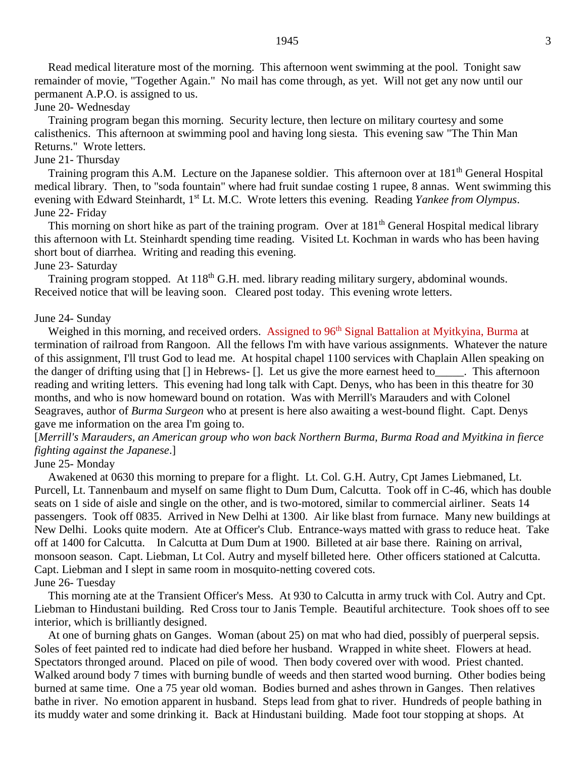Read medical literature most of the morning. This afternoon went swimming at the pool. Tonight saw remainder of movie, "Together Again." No mail has come through, as yet. Will not get any now until our permanent A.P.O. is assigned to us.

#### June 20- Wednesday

Training program began this morning. Security lecture, then lecture on military courtesy and some calisthenics. This afternoon at swimming pool and having long siesta. This evening saw "The Thin Man Returns." Wrote letters.

### June 21- Thursday

Training program this A.M. Lecture on the Japanese soldier. This afternoon over at 181<sup>th</sup> General Hospital medical library. Then, to "soda fountain" where had fruit sundae costing 1 rupee, 8 annas. Went swimming this evening with Edward Steinhardt, 1st Lt. M.C. Wrote letters this evening. Reading *Yankee from Olympus*. June 22- Friday

This morning on short hike as part of the training program. Over at 181<sup>th</sup> General Hospital medical library this afternoon with Lt. Steinhardt spending time reading. Visited Lt. Kochman in wards who has been having short bout of diarrhea. Writing and reading this evening.

#### June 23- Saturday

Training program stopped. At 118<sup>th</sup> G.H. med. library reading military surgery, abdominal wounds. Received notice that will be leaving soon. Cleared post today. This evening wrote letters.

### June 24- Sunday

Weighed in this morning, and received orders. Assigned to 96<sup>th</sup> Signal Battalion at Myitkyina, Burma at termination of railroad from Rangoon. All the fellows I'm with have various assignments. Whatever the nature of this assignment, I'll trust God to lead me. At hospital chapel 1100 services with Chaplain Allen speaking on the danger of drifting using that [] in Hebrews- []. Let us give the more earnest heed to\_\_\_\_\_. This afternoon reading and writing letters. This evening had long talk with Capt. Denys, who has been in this theatre for 30 months, and who is now homeward bound on rotation. Was with Merrill's Marauders and with Colonel Seagraves, author of *Burma Surgeon* who at present is here also awaiting a west-bound flight. Capt. Denys gave me information on the area I'm going to.

[*Merrill's Marauders, an American group who won back Northern Burma, Burma Road and Myitkina in fierce fighting against the Japanese*.]

### June 25- Monday

Awakened at 0630 this morning to prepare for a flight. Lt. Col. G.H. Autry, Cpt James Liebmaned, Lt. Purcell, Lt. Tannenbaum and myself on same flight to Dum Dum, Calcutta. Took off in C-46, which has double seats on 1 side of aisle and single on the other, and is two-motored, similar to commercial airliner. Seats 14 passengers. Took off 0835. Arrived in New Delhi at 1300. Air like blast from furnace. Many new buildings at New Delhi. Looks quite modern. Ate at Officer's Club. Entrance-ways matted with grass to reduce heat. Take off at 1400 for Calcutta. In Calcutta at Dum Dum at 1900. Billeted at air base there. Raining on arrival, monsoon season. Capt. Liebman, Lt Col. Autry and myself billeted here. Other officers stationed at Calcutta. Capt. Liebman and I slept in same room in mosquito-netting covered cots. June 26- Tuesday

This morning ate at the Transient Officer's Mess. At 930 to Calcutta in army truck with Col. Autry and Cpt. Liebman to Hindustani building. Red Cross tour to Janis Temple. Beautiful architecture. Took shoes off to see interior, which is brilliantly designed.

At one of burning ghats on Ganges. Woman (about 25) on mat who had died, possibly of puerperal sepsis. Soles of feet painted red to indicate had died before her husband. Wrapped in white sheet. Flowers at head. Spectators thronged around. Placed on pile of wood. Then body covered over with wood. Priest chanted. Walked around body 7 times with burning bundle of weeds and then started wood burning. Other bodies being burned at same time. One a 75 year old woman. Bodies burned and ashes thrown in Ganges. Then relatives bathe in river. No emotion apparent in husband. Steps lead from ghat to river. Hundreds of people bathing in its muddy water and some drinking it. Back at Hindustani building. Made foot tour stopping at shops. At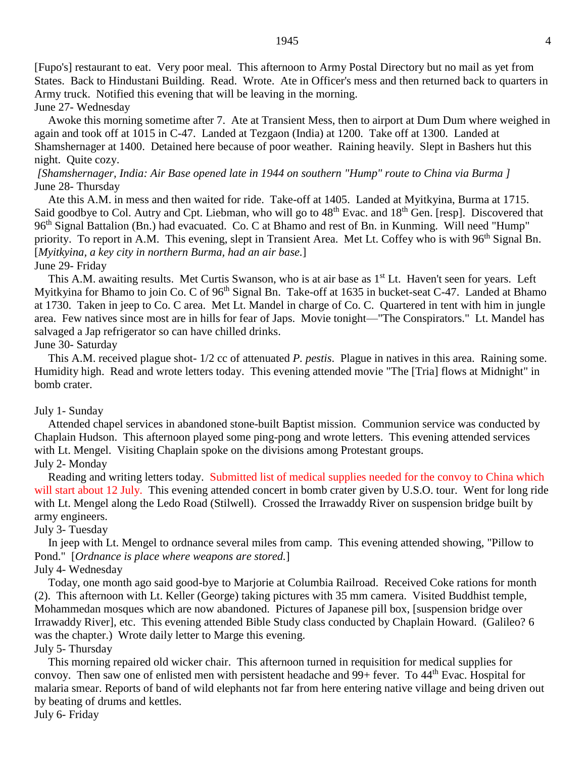[Fupo's] restaurant to eat. Very poor meal. This afternoon to Army Postal Directory but no mail as yet from States. Back to Hindustani Building. Read. Wrote. Ate in Officer's mess and then returned back to quarters in Army truck. Notified this evening that will be leaving in the morning. June 27- Wednesday

Awoke this morning sometime after 7. Ate at Transient Mess, then to airport at Dum Dum where weighed in again and took off at 1015 in C-47. Landed at Tezgaon (India) at 1200. Take off at 1300. Landed at Shamshernager at 1400. Detained here because of poor weather. Raining heavily. Slept in Bashers hut this night. Quite cozy.

### *[Shamshernager, India: Air Base opened late in 1944 on southern "Hump" route to China via Burma ]* June 28- Thursday

Ate this A.M. in mess and then waited for ride. Take-off at 1405. Landed at Myitkyina, Burma at 1715. Said goodbye to Col. Autry and Cpt. Liebman, who will go to 48<sup>th</sup> Evac. and 18<sup>th</sup> Gen. [resp]. Discovered that 96<sup>th</sup> Signal Battalion (Bn.) had evacuated. Co. C at Bhamo and rest of Bn. in Kunming. Will need "Hump" priority. To report in A.M. This evening, slept in Transient Area. Met Lt. Coffey who is with 96<sup>th</sup> Signal Bn. [*Myitkyina, a key city in northern Burma, had an air base.*] June 29- Friday

This A.M. awaiting results. Met Curtis Swanson, who is at air base as 1<sup>st</sup> Lt. Haven't seen for years. Left Myitkyina for Bhamo to join Co. C of 96<sup>th</sup> Signal Bn. Take-off at 1635 in bucket-seat C-47. Landed at Bhamo at 1730. Taken in jeep to Co. C area. Met Lt. Mandel in charge of Co. C. Quartered in tent with him in jungle area. Few natives since most are in hills for fear of Japs. Movie tonight—"The Conspirators." Lt. Mandel has salvaged a Jap refrigerator so can have chilled drinks.

June 30- Saturday

This A.M. received plague shot- 1/2 cc of attenuated *P. pestis*. Plague in natives in this area. Raining some. Humidity high. Read and wrote letters today. This evening attended movie "The [Tria] flows at Midnight" in bomb crater.

### July 1- Sunday

Attended chapel services in abandoned stone-built Baptist mission. Communion service was conducted by Chaplain Hudson. This afternoon played some ping-pong and wrote letters. This evening attended services with Lt. Mengel. Visiting Chaplain spoke on the divisions among Protestant groups. July 2- Monday

Reading and writing letters today. Submitted list of medical supplies needed for the convoy to China which will start about 12 July. This evening attended concert in bomb crater given by U.S.O. tour. Went for long ride with Lt. Mengel along the Ledo Road (Stilwell). Crossed the Irrawaddy River on suspension bridge built by army engineers.

#### July 3- Tuesday

In jeep with Lt. Mengel to ordnance several miles from camp. This evening attended showing, "Pillow to Pond." [*Ordnance is place where weapons are stored.*] July 4- Wednesday

Today, one month ago said good-bye to Marjorie at Columbia Railroad. Received Coke rations for month (2). This afternoon with Lt. Keller (George) taking pictures with 35 mm camera. Visited Buddhist temple, Mohammedan mosques which are now abandoned. Pictures of Japanese pill box, [suspension bridge over Irrawaddy River], etc. This evening attended Bible Study class conducted by Chaplain Howard. (Galileo? 6 was the chapter.) Wrote daily letter to Marge this evening.

July 5- Thursday

This morning repaired old wicker chair. This afternoon turned in requisition for medical supplies for convoy. Then saw one of enlisted men with persistent headache and 99+ fever. To 44<sup>th</sup> Evac. Hospital for malaria smear. Reports of band of wild elephants not far from here entering native village and being driven out by beating of drums and kettles.

July 6- Friday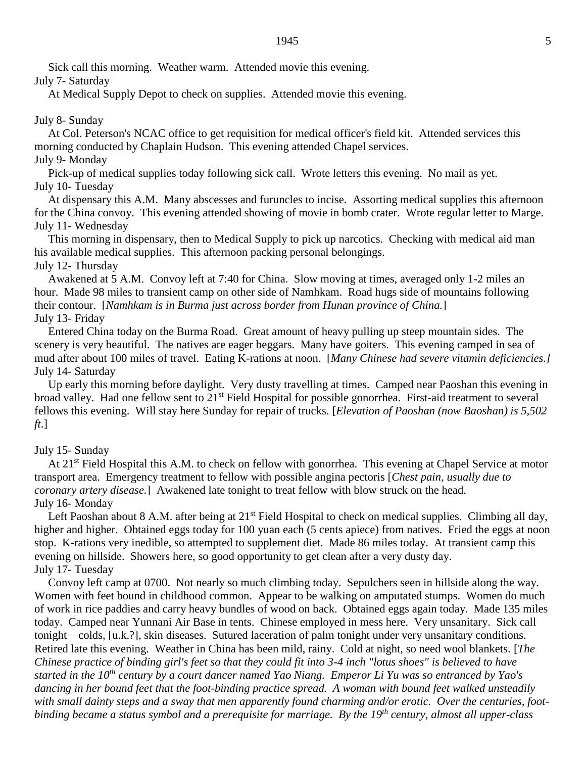Sick call this morning. Weather warm. Attended movie this evening. July 7- Saturday

At Medical Supply Depot to check on supplies. Attended movie this evening.

### July 8- Sunday

At Col. Peterson's NCAC office to get requisition for medical officer's field kit. Attended services this morning conducted by Chaplain Hudson. This evening attended Chapel services. July 9- Monday

Pick-up of medical supplies today following sick call. Wrote letters this evening. No mail as yet. July 10- Tuesday

At dispensary this A.M. Many abscesses and furuncles to incise. Assorting medical supplies this afternoon for the China convoy. This evening attended showing of movie in bomb crater. Wrote regular letter to Marge. July 11- Wednesday

This morning in dispensary, then to Medical Supply to pick up narcotics. Checking with medical aid man his available medical supplies. This afternoon packing personal belongings. July 12- Thursday

Awakened at 5 A.M. Convoy left at 7:40 for China. Slow moving at times, averaged only 1-2 miles an hour. Made 98 miles to transient camp on other side of Namhkam. Road hugs side of mountains following their contour. [*Namhkam is in Burma just across border from Hunan province of China.*] July 13- Friday

Entered China today on the Burma Road. Great amount of heavy pulling up steep mountain sides. The scenery is very beautiful. The natives are eager beggars. Many have goiters. This evening camped in sea of mud after about 100 miles of travel. Eating K-rations at noon. [*Many Chinese had severe vitamin deficiencies.]* July 14- Saturday

Up early this morning before daylight. Very dusty travelling at times. Camped near Paoshan this evening in broad valley. Had one fellow sent to 21st Field Hospital for possible gonorrhea. First-aid treatment to several fellows this evening. Will stay here Sunday for repair of trucks. [*Elevation of Paoshan (now Baoshan) is 5,502 ft*.]

#### July 15- Sunday

At 21<sup>st</sup> Field Hospital this A.M. to check on fellow with gonorrhea. This evening at Chapel Service at motor transport area. Emergency treatment to fellow with possible angina pectoris [*Chest pain, usually due to coronary artery disease.*] Awakened late tonight to treat fellow with blow struck on the head. July 16- Monday

Left Paoshan about 8 A.M. after being at 21<sup>st</sup> Field Hospital to check on medical supplies. Climbing all day, higher and higher. Obtained eggs today for 100 yuan each (5 cents apiece) from natives. Fried the eggs at noon stop. K-rations very inedible, so attempted to supplement diet. Made 86 miles today. At transient camp this evening on hillside. Showers here, so good opportunity to get clean after a very dusty day. July 17- Tuesday

Convoy left camp at 0700. Not nearly so much climbing today. Sepulchers seen in hillside along the way. Women with feet bound in childhood common. Appear to be walking on amputated stumps. Women do much of work in rice paddies and carry heavy bundles of wood on back. Obtained eggs again today. Made 135 miles today. Camped near Yunnani Air Base in tents. Chinese employed in mess here. Very unsanitary. Sick call tonight—colds, [u.k.?], skin diseases. Sutured laceration of palm tonight under very unsanitary conditions. Retired late this evening. Weather in China has been mild, rainy. Cold at night, so need wool blankets. [*The Chinese practice of binding girl's feet so that they could fit into 3-4 inch "lotus shoes" is believed to have started in the 10th century by a court dancer named Yao Niang. Emperor Li Yu was so entranced by Yao's dancing in her bound feet that the foot-binding practice spread. A woman with bound feet walked unsteadily with small dainty steps and a sway that men apparently found charming and/or erotic. Over the centuries, footbinding became a status symbol and a prerequisite for marriage. By the 19th century, almost all upper-class*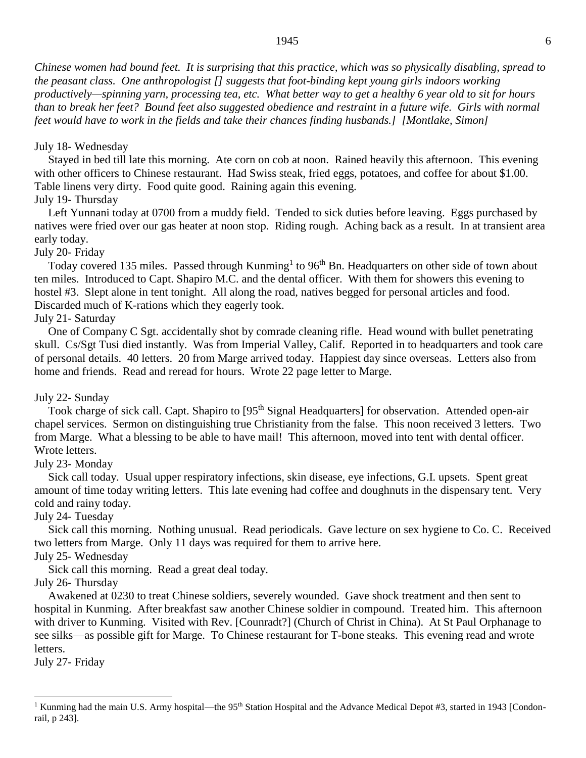*Chinese women had bound feet. It is surprising that this practice, which was so physically disabling, spread to the peasant class. One anthropologist [] suggests that foot-binding kept young girls indoors working productively—spinning yarn, processing tea, etc. What better way to get a healthy 6 year old to sit for hours than to break her feet? Bound feet also suggested obedience and restraint in a future wife. Girls with normal feet would have to work in the fields and take their chances finding husbands.] [Montlake, Simon]*

### July 18- Wednesday

Stayed in bed till late this morning. Ate corn on cob at noon. Rained heavily this afternoon. This evening with other officers to Chinese restaurant. Had Swiss steak, fried eggs, potatoes, and coffee for about \$1.00. Table linens very dirty. Food quite good. Raining again this evening.

# July 19- Thursday

Left Yunnani today at 0700 from a muddy field. Tended to sick duties before leaving. Eggs purchased by natives were fried over our gas heater at noon stop. Riding rough. Aching back as a result. In at transient area early today.

### July 20- Friday

Today covered 135 miles. Passed through Kunming<sup>1</sup> to 96<sup>th</sup> Bn. Headquarters on other side of town about ten miles. Introduced to Capt. Shapiro M.C. and the dental officer. With them for showers this evening to hostel #3. Slept alone in tent tonight. All along the road, natives begged for personal articles and food. Discarded much of K-rations which they eagerly took.

### July 21- Saturday

One of Company C Sgt. accidentally shot by comrade cleaning rifle. Head wound with bullet penetrating skull. Cs/Sgt Tusi died instantly. Was from Imperial Valley, Calif. Reported in to headquarters and took care of personal details. 40 letters. 20 from Marge arrived today. Happiest day since overseas. Letters also from home and friends. Read and reread for hours. Wrote 22 page letter to Marge.

### July 22- Sunday

Took charge of sick call. Capt. Shapiro to [95<sup>th</sup> Signal Headquarters] for observation. Attended open-air chapel services. Sermon on distinguishing true Christianity from the false. This noon received 3 letters. Two from Marge. What a blessing to be able to have mail! This afternoon, moved into tent with dental officer. Wrote letters.

### July 23- Monday

Sick call today. Usual upper respiratory infections, skin disease, eye infections, G.I. upsets. Spent great amount of time today writing letters. This late evening had coffee and doughnuts in the dispensary tent. Very cold and rainy today.

### July 24- Tuesday

Sick call this morning. Nothing unusual. Read periodicals. Gave lecture on sex hygiene to Co. C. Received two letters from Marge. Only 11 days was required for them to arrive here.

# July 25- Wednesday

Sick call this morning. Read a great deal today.

### July 26- Thursday

Awakened at 0230 to treat Chinese soldiers, severely wounded. Gave shock treatment and then sent to hospital in Kunming. After breakfast saw another Chinese soldier in compound. Treated him. This afternoon with driver to Kunming. Visited with Rev. [Counradt?] (Church of Christ in China). At St Paul Orphanage to see silks—as possible gift for Marge. To Chinese restaurant for T-bone steaks. This evening read and wrote letters.

July 27- Friday

 $\overline{a}$ 

### 1945 6

<sup>&</sup>lt;sup>1</sup> Kunming had the main U.S. Army hospital—the 95<sup>th</sup> Station Hospital and the Advance Medical Depot #3, started in 1943 [Condonrail, p 243].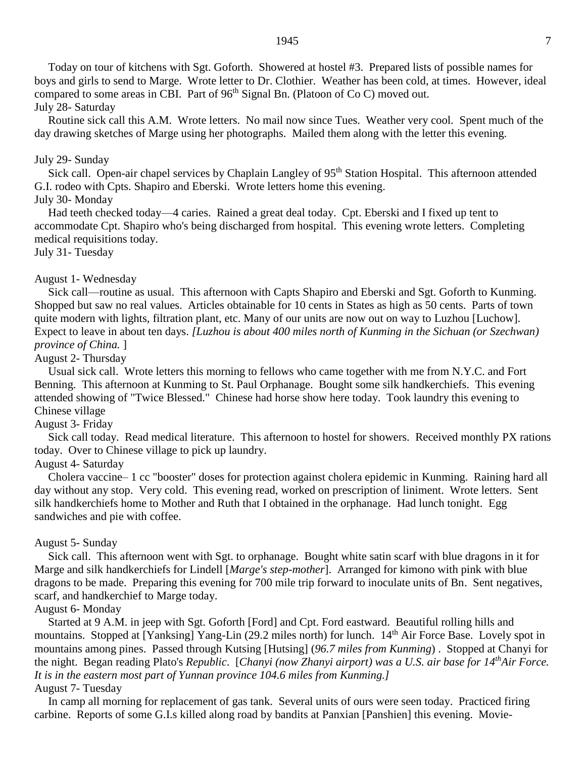Today on tour of kitchens with Sgt. Goforth. Showered at hostel #3. Prepared lists of possible names for boys and girls to send to Marge. Wrote letter to Dr. Clothier. Weather has been cold, at times. However, ideal compared to some areas in CBI. Part of  $96<sup>th</sup>$  Signal Bn. (Platoon of Co C) moved out. July 28- Saturday

Routine sick call this A.M. Wrote letters. No mail now since Tues. Weather very cool. Spent much of the day drawing sketches of Marge using her photographs. Mailed them along with the letter this evening.

#### July 29- Sunday

Sick call. Open-air chapel services by Chaplain Langley of 95<sup>th</sup> Station Hospital. This afternoon attended G.I. rodeo with Cpts. Shapiro and Eberski. Wrote letters home this evening.

# July 30- Monday

Had teeth checked today—4 caries. Rained a great deal today. Cpt. Eberski and I fixed up tent to accommodate Cpt. Shapiro who's being discharged from hospital. This evening wrote letters. Completing medical requisitions today.

July 31- Tuesday

#### August 1- Wednesday

Sick call—routine as usual. This afternoon with Capts Shapiro and Eberski and Sgt. Goforth to Kunming. Shopped but saw no real values. Articles obtainable for 10 cents in States as high as 50 cents. Parts of town quite modern with lights, filtration plant, etc. Many of our units are now out on way to Luzhou [Luchow]. Expect to leave in about ten days. *[Luzhou is about 400 miles north of Kunming in the Sichuan (or Szechwan) province of China.* ]

### August 2- Thursday

Usual sick call. Wrote letters this morning to fellows who came together with me from N.Y.C. and Fort Benning. This afternoon at Kunming to St. Paul Orphanage. Bought some silk handkerchiefs. This evening attended showing of "Twice Blessed." Chinese had horse show here today. Took laundry this evening to Chinese village

#### August 3- Friday

Sick call today. Read medical literature. This afternoon to hostel for showers. Received monthly PX rations today. Over to Chinese village to pick up laundry.

### August 4- Saturday

Cholera vaccine– 1 cc "booster" doses for protection against cholera epidemic in Kunming. Raining hard all day without any stop. Very cold. This evening read, worked on prescription of liniment. Wrote letters. Sent silk handkerchiefs home to Mother and Ruth that I obtained in the orphanage. Had lunch tonight. Egg sandwiches and pie with coffee.

#### August 5- Sunday

Sick call. This afternoon went with Sgt. to orphanage. Bought white satin scarf with blue dragons in it for Marge and silk handkerchiefs for Lindell [*Marge's step-mother*]. Arranged for kimono with pink with blue dragons to be made. Preparing this evening for 700 mile trip forward to inoculate units of Bn. Sent negatives, scarf, and handkerchief to Marge today.

#### August 6- Monday

Started at 9 A.M. in jeep with Sgt. Goforth [Ford] and Cpt. Ford eastward. Beautiful rolling hills and mountains. Stopped at [Yanksing] Yang-Lin (29.2 miles north) for lunch. 14<sup>th</sup> Air Force Base. Lovely spot in mountains among pines. Passed through Kutsing [Hutsing] (*96.7 miles from Kunming*) . Stopped at Chanyi for the night. Began reading Plato's *Republic*. [*Chanyi (now Zhanyi airport) was a U.S. air base for 14thAir Force. It is in the eastern most part of Yunnan province 104.6 miles from Kunming.]* August 7- Tuesday

In camp all morning for replacement of gas tank. Several units of ours were seen today. Practiced firing carbine. Reports of some G.I.s killed along road by bandits at Panxian [Panshien] this evening. Movie-

1945 7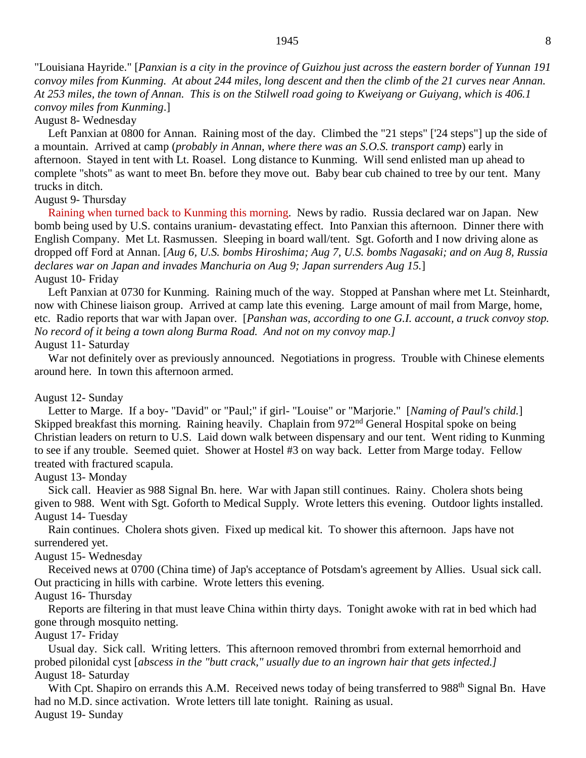*At 253 miles, the town of Annan. This is on the Stilwell road going to Kweiyang or Guiyang, which is 406.1 convoy miles from Kunming*.]

### August 8- Wednesday

Left Panxian at 0800 for Annan. Raining most of the day. Climbed the "21 steps" ['24 steps"] up the side of a mountain. Arrived at camp (*probably in Annan, where there was an S.O.S. transport camp*) early in afternoon. Stayed in tent with Lt. Roasel. Long distance to Kunming. Will send enlisted man up ahead to complete "shots" as want to meet Bn. before they move out. Baby bear cub chained to tree by our tent. Many trucks in ditch.

### August 9- Thursday

Raining when turned back to Kunming this morning. News by radio. Russia declared war on Japan. New bomb being used by U.S. contains uranium- devastating effect. Into Panxian this afternoon. Dinner there with English Company. Met Lt. Rasmussen. Sleeping in board wall/tent. Sgt. Goforth and I now driving alone as dropped off Ford at Annan. [*Aug 6, U.S. bombs Hiroshima; Aug 7, U.S. bombs Nagasaki; and on Aug 8, Russia declares war on Japan and invades Manchuria on Aug 9; Japan surrenders Aug 15.*] August 10- Friday

Left Panxian at 0730 for Kunming. Raining much of the way. Stopped at Panshan where met Lt. Steinhardt, now with Chinese liaison group. Arrived at camp late this evening. Large amount of mail from Marge, home, etc. Radio reports that war with Japan over. [*Panshan was, according to one G.I. account, a truck convoy stop. No record of it being a town along Burma Road. And not on my convoy map.]*

# August 11- Saturday

War not definitely over as previously announced. Negotiations in progress. Trouble with Chinese elements around here. In town this afternoon armed.

# August 12- Sunday

Letter to Marge. If a boy- "David" or "Paul;" if girl- "Louise" or "Marjorie." [*Naming of Paul's child.*] Skipped breakfast this morning. Raining heavily. Chaplain from 972<sup>nd</sup> General Hospital spoke on being Christian leaders on return to U.S. Laid down walk between dispensary and our tent. Went riding to Kunming to see if any trouble. Seemed quiet. Shower at Hostel #3 on way back. Letter from Marge today. Fellow treated with fractured scapula.

### August 13- Monday

Sick call. Heavier as 988 Signal Bn. here. War with Japan still continues. Rainy. Cholera shots being given to 988. Went with Sgt. Goforth to Medical Supply. Wrote letters this evening. Outdoor lights installed. August 14- Tuesday

Rain continues. Cholera shots given. Fixed up medical kit. To shower this afternoon. Japs have not surrendered yet.

# August 15- Wednesday

Received news at 0700 (China time) of Jap's acceptance of Potsdam's agreement by Allies. Usual sick call. Out practicing in hills with carbine. Wrote letters this evening.

# August 16- Thursday

Reports are filtering in that must leave China within thirty days. Tonight awoke with rat in bed which had gone through mosquito netting.

### August 17- Friday

Usual day. Sick call. Writing letters. This afternoon removed thrombri from external hemorrhoid and probed pilonidal cyst [*abscess in the "butt crack," usually due to an ingrown hair that gets infected.]* August 18- Saturday

With Cpt. Shapiro on errands this A.M. Received news today of being transferred to 988<sup>th</sup> Signal Bn. Have had no M.D. since activation. Wrote letters till late tonight. Raining as usual. August 19- Sunday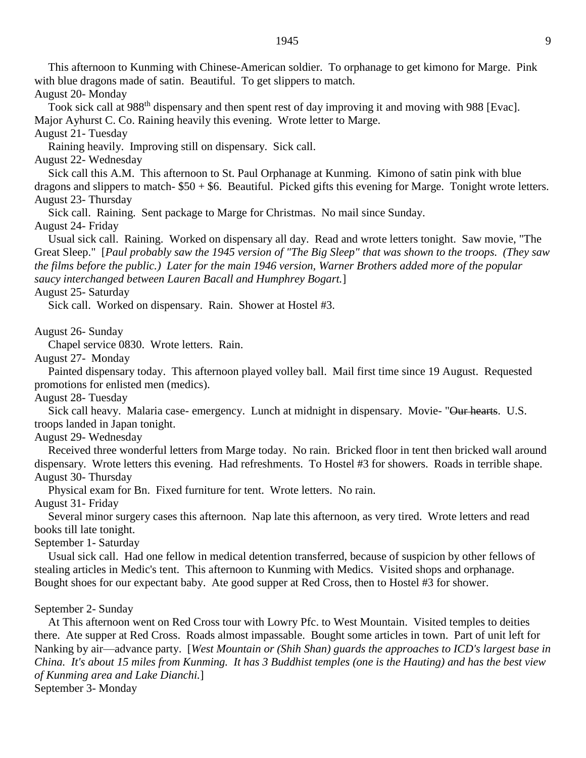This afternoon to Kunming with Chinese-American soldier. To orphanage to get kimono for Marge. Pink with blue dragons made of satin. Beautiful. To get slippers to match. August 20- Monday

Took sick call at 988<sup>th</sup> dispensary and then spent rest of day improving it and moving with 988 [Evac]. Major Ayhurst C. Co. Raining heavily this evening. Wrote letter to Marge.

August 21- Tuesday

Raining heavily. Improving still on dispensary. Sick call.

August 22- Wednesday

Sick call this A.M. This afternoon to St. Paul Orphanage at Kunming. Kimono of satin pink with blue dragons and slippers to match- \$50 + \$6. Beautiful. Picked gifts this evening for Marge. Tonight wrote letters. August 23- Thursday

Sick call. Raining. Sent package to Marge for Christmas. No mail since Sunday. August 24- Friday

Usual sick call. Raining. Worked on dispensary all day. Read and wrote letters tonight. Saw movie, "The Great Sleep." [*Paul probably saw the 1945 version of "The Big Sleep" that was shown to the troops. (They saw the films before the public.) Later for the main 1946 version, Warner Brothers added more of the popular saucy interchanged between Lauren Bacall and Humphrey Bogart.*]

August 25- Saturday

Sick call. Worked on dispensary. Rain. Shower at Hostel #3.

August 26- Sunday

Chapel service 0830. Wrote letters. Rain.

August 27- Monday

Painted dispensary today. This afternoon played volley ball. Mail first time since 19 August. Requested promotions for enlisted men (medics).

August 28- Tuesday

Sick call heavy. Malaria case- emergency. Lunch at midnight in dispensary. Movie- "Our hearts. U.S. troops landed in Japan tonight.

August 29- Wednesday

Received three wonderful letters from Marge today. No rain. Bricked floor in tent then bricked wall around dispensary. Wrote letters this evening. Had refreshments. To Hostel #3 for showers. Roads in terrible shape. August 30- Thursday

Physical exam for Bn. Fixed furniture for tent. Wrote letters. No rain.

August 31- Friday

Several minor surgery cases this afternoon. Nap late this afternoon, as very tired. Wrote letters and read books till late tonight.

September 1- Saturday

Usual sick call. Had one fellow in medical detention transferred, because of suspicion by other fellows of stealing articles in Medic's tent. This afternoon to Kunming with Medics. Visited shops and orphanage. Bought shoes for our expectant baby. Ate good supper at Red Cross, then to Hostel #3 for shower.

#### September 2- Sunday

At This afternoon went on Red Cross tour with Lowry Pfc. to West Mountain. Visited temples to deities there. Ate supper at Red Cross. Roads almost impassable. Bought some articles in town. Part of unit left for Nanking by air—advance party. [*West Mountain or (Shih Shan) guards the approaches to ICD's largest base in China. It's about 15 miles from Kunming. It has 3 Buddhist temples (one is the Hauting) and has the best view of Kunming area and Lake Dianchi.*] September 3- Monday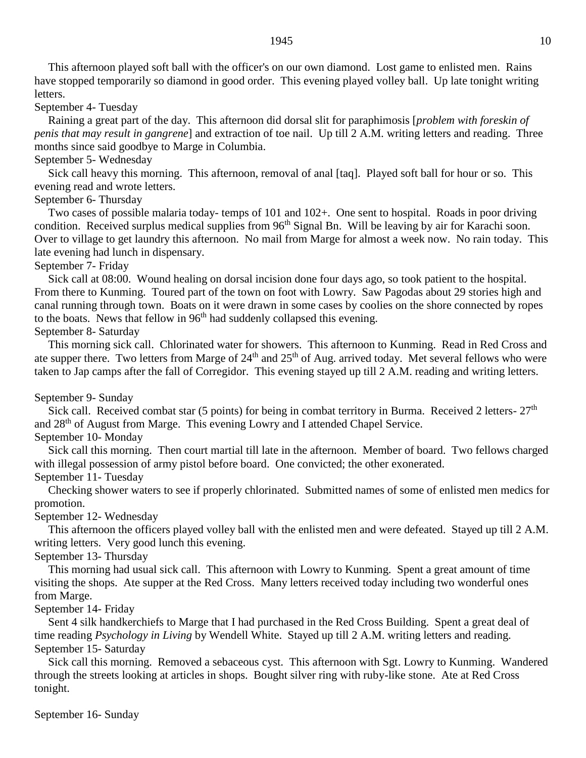This afternoon played soft ball with the officer's on our own diamond. Lost game to enlisted men. Rains have stopped temporarily so diamond in good order. This evening played volley ball. Up late tonight writing letters.

#### September 4- Tuesday

Raining a great part of the day. This afternoon did dorsal slit for paraphimosis [*problem with foreskin of penis that may result in gangrene*] and extraction of toe nail. Up till 2 A.M. writing letters and reading. Three months since said goodbye to Marge in Columbia.

### September 5- Wednesday

Sick call heavy this morning. This afternoon, removal of anal [taq]. Played soft ball for hour or so. This evening read and wrote letters.

# September 6- Thursday

Two cases of possible malaria today- temps of 101 and 102+. One sent to hospital. Roads in poor driving condition. Received surplus medical supplies from  $96<sup>th</sup>$  Signal Bn. Will be leaving by air for Karachi soon. Over to village to get laundry this afternoon. No mail from Marge for almost a week now. No rain today. This late evening had lunch in dispensary.

# September 7- Friday

Sick call at 08:00. Wound healing on dorsal incision done four days ago, so took patient to the hospital. From there to Kunming. Toured part of the town on foot with Lowry. Saw Pagodas about 29 stories high and canal running through town. Boats on it were drawn in some cases by coolies on the shore connected by ropes to the boats. News that fellow in 96<sup>th</sup> had suddenly collapsed this evening. September 8- Saturday

This morning sick call. Chlorinated water for showers. This afternoon to Kunming. Read in Red Cross and ate supper there. Two letters from Marge of  $24<sup>th</sup>$  and  $25<sup>th</sup>$  of Aug. arrived today. Met several fellows who were taken to Jap camps after the fall of Corregidor. This evening stayed up till 2 A.M. reading and writing letters.

### September 9- Sunday

Sick call. Received combat star (5 points) for being in combat territory in Burma. Received 2 letters-  $27<sup>th</sup>$ and 28th of August from Marge. This evening Lowry and I attended Chapel Service. September 10- Monday

Sick call this morning. Then court martial till late in the afternoon. Member of board. Two fellows charged with illegal possession of army pistol before board. One convicted; the other exonerated. September 11- Tuesday

# Checking shower waters to see if properly chlorinated. Submitted names of some of enlisted men medics for

promotion.

### September 12- Wednesday

This afternoon the officers played volley ball with the enlisted men and were defeated. Stayed up till 2 A.M. writing letters. Very good lunch this evening.

### September 13- Thursday

This morning had usual sick call. This afternoon with Lowry to Kunming. Spent a great amount of time visiting the shops. Ate supper at the Red Cross. Many letters received today including two wonderful ones from Marge.

### September 14- Friday

Sent 4 silk handkerchiefs to Marge that I had purchased in the Red Cross Building. Spent a great deal of time reading *Psychology in Living* by Wendell White. Stayed up till 2 A.M. writing letters and reading. September 15- Saturday

Sick call this morning. Removed a sebaceous cyst. This afternoon with Sgt. Lowry to Kunming. Wandered through the streets looking at articles in shops. Bought silver ring with ruby-like stone. Ate at Red Cross tonight.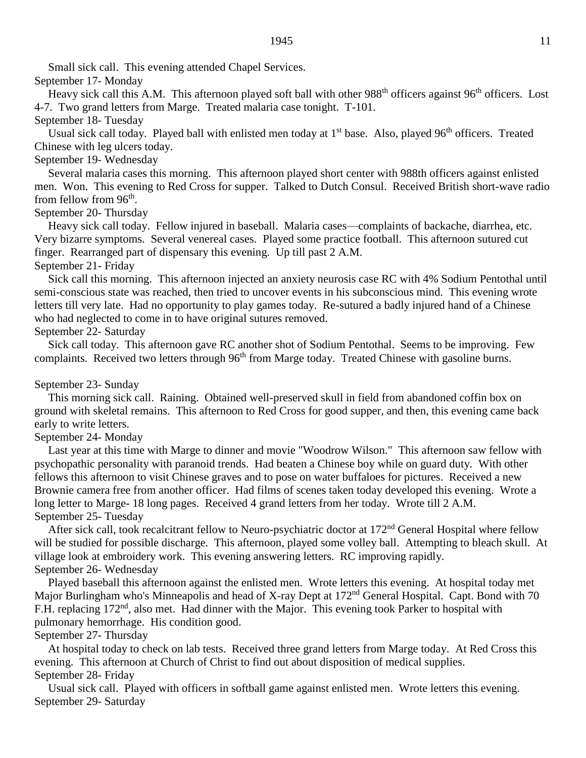Small sick call. This evening attended Chapel Services.

# September 17- Monday

Heavy sick call this A.M. This afternoon played soft ball with other 988<sup>th</sup> officers against 96<sup>th</sup> officers. Lost 4-7. Two grand letters from Marge. Treated malaria case tonight. T-101.

# September 18- Tuesday

Usual sick call today. Played ball with enlisted men today at 1<sup>st</sup> base. Also, played 96<sup>th</sup> officers. Treated Chinese with leg ulcers today.

# September 19- Wednesday

Several malaria cases this morning. This afternoon played short center with 988th officers against enlisted men. Won. This evening to Red Cross for supper. Talked to Dutch Consul. Received British short-wave radio from fellow from 96<sup>th</sup>.

# September 20- Thursday

Heavy sick call today. Fellow injured in baseball. Malaria cases—complaints of backache, diarrhea, etc. Very bizarre symptoms. Several venereal cases. Played some practice football. This afternoon sutured cut finger. Rearranged part of dispensary this evening. Up till past 2 A.M.

# September 21- Friday

Sick call this morning. This afternoon injected an anxiety neurosis case RC with 4% Sodium Pentothal until semi-conscious state was reached, then tried to uncover events in his subconscious mind. This evening wrote letters till very late. Had no opportunity to play games today. Re-sutured a badly injured hand of a Chinese who had neglected to come in to have original sutures removed.

# September 22- Saturday

Sick call today. This afternoon gave RC another shot of Sodium Pentothal. Seems to be improving. Few complaints. Received two letters through 96<sup>th</sup> from Marge today. Treated Chinese with gasoline burns.

# September 23- Sunday

This morning sick call. Raining. Obtained well-preserved skull in field from abandoned coffin box on ground with skeletal remains. This afternoon to Red Cross for good supper, and then, this evening came back early to write letters.

# September 24- Monday

Last year at this time with Marge to dinner and movie "Woodrow Wilson." This afternoon saw fellow with psychopathic personality with paranoid trends. Had beaten a Chinese boy while on guard duty. With other fellows this afternoon to visit Chinese graves and to pose on water buffaloes for pictures. Received a new Brownie camera free from another officer. Had films of scenes taken today developed this evening. Wrote a long letter to Marge- 18 long pages. Received 4 grand letters from her today. Wrote till 2 A.M. September 25- Tuesday

After sick call, took recalcitrant fellow to Neuro-psychiatric doctor at 172<sup>nd</sup> General Hospital where fellow will be studied for possible discharge. This afternoon, played some volley ball. Attempting to bleach skull. At village look at embroidery work. This evening answering letters. RC improving rapidly. September 26- Wednesday

Played baseball this afternoon against the enlisted men. Wrote letters this evening. At hospital today met Major Burlingham who's Minneapolis and head of X-ray Dept at 172<sup>nd</sup> General Hospital. Capt. Bond with 70 F.H. replacing 172<sup>nd</sup>, also met. Had dinner with the Major. This evening took Parker to hospital with pulmonary hemorrhage. His condition good.

# September 27- Thursday

At hospital today to check on lab tests. Received three grand letters from Marge today. At Red Cross this evening. This afternoon at Church of Christ to find out about disposition of medical supplies. September 28- Friday

Usual sick call. Played with officers in softball game against enlisted men. Wrote letters this evening. September 29- Saturday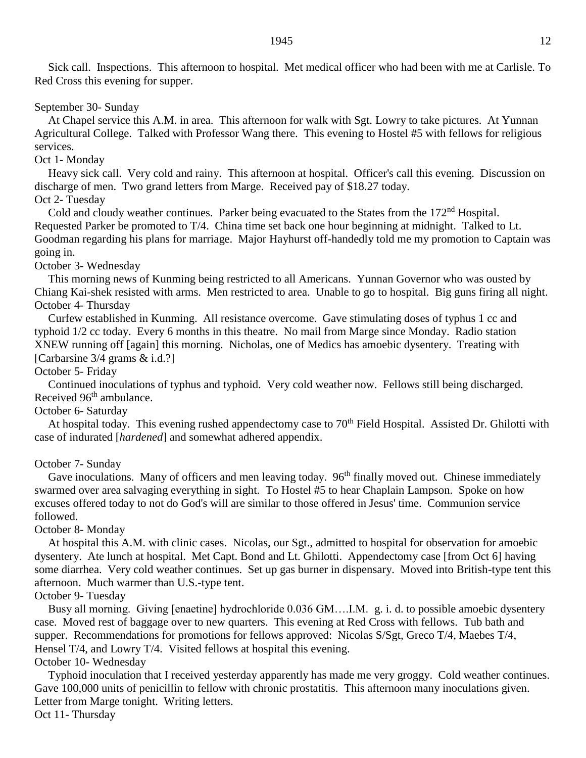Sick call. Inspections. This afternoon to hospital. Met medical officer who had been with me at Carlisle. To Red Cross this evening for supper.

#### September 30- Sunday

At Chapel service this A.M. in area. This afternoon for walk with Sgt. Lowry to take pictures. At Yunnan Agricultural College. Talked with Professor Wang there. This evening to Hostel #5 with fellows for religious services.

### Oct 1- Monday

Heavy sick call. Very cold and rainy. This afternoon at hospital. Officer's call this evening. Discussion on discharge of men. Two grand letters from Marge. Received pay of \$18.27 today.

# Oct 2- Tuesday

Cold and cloudy weather continues. Parker being evacuated to the States from the 172<sup>nd</sup> Hospital. Requested Parker be promoted to T/4. China time set back one hour beginning at midnight. Talked to Lt. Goodman regarding his plans for marriage. Major Hayhurst off-handedly told me my promotion to Captain was going in.

### October 3- Wednesday

This morning news of Kunming being restricted to all Americans. Yunnan Governor who was ousted by Chiang Kai-shek resisted with arms. Men restricted to area. Unable to go to hospital. Big guns firing all night. October 4- Thursday

Curfew established in Kunming. All resistance overcome. Gave stimulating doses of typhus 1 cc and typhoid 1/2 cc today. Every 6 months in this theatre. No mail from Marge since Monday. Radio station XNEW running off [again] this morning. Nicholas, one of Medics has amoebic dysentery. Treating with [Carbarsine 3/4 grams & i.d.?]

#### October 5- Friday

Continued inoculations of typhus and typhoid. Very cold weather now. Fellows still being discharged. Received  $96<sup>th</sup>$  ambulance.

# October 6- Saturday

At hospital today. This evening rushed appendectomy case to 70<sup>th</sup> Field Hospital. Assisted Dr. Ghilotti with case of indurated [*hardened*] and somewhat adhered appendix.

### October 7- Sunday

Gave inoculations. Many of officers and men leaving today. 96<sup>th</sup> finally moved out. Chinese immediately swarmed over area salvaging everything in sight. To Hostel #5 to hear Chaplain Lampson. Spoke on how excuses offered today to not do God's will are similar to those offered in Jesus' time. Communion service followed.

### October 8- Monday

At hospital this A.M. with clinic cases. Nicolas, our Sgt., admitted to hospital for observation for amoebic dysentery. Ate lunch at hospital. Met Capt. Bond and Lt. Ghilotti. Appendectomy case [from Oct 6] having some diarrhea. Very cold weather continues. Set up gas burner in dispensary. Moved into British-type tent this afternoon. Much warmer than U.S.-type tent.

### October 9- Tuesday

Busy all morning. Giving [enaetine] hydrochloride 0.036 GM….I.M. g. i. d. to possible amoebic dysentery case. Moved rest of baggage over to new quarters. This evening at Red Cross with fellows. Tub bath and supper. Recommendations for promotions for fellows approved: Nicolas S/Sgt, Greco T/4, Maebes T/4, Hensel T/4, and Lowry T/4. Visited fellows at hospital this evening. October 10- Wednesday

# Typhoid inoculation that I received yesterday apparently has made me very groggy. Cold weather continues. Gave 100,000 units of penicillin to fellow with chronic prostatitis. This afternoon many inoculations given. Letter from Marge tonight. Writing letters.

Oct 11- Thursday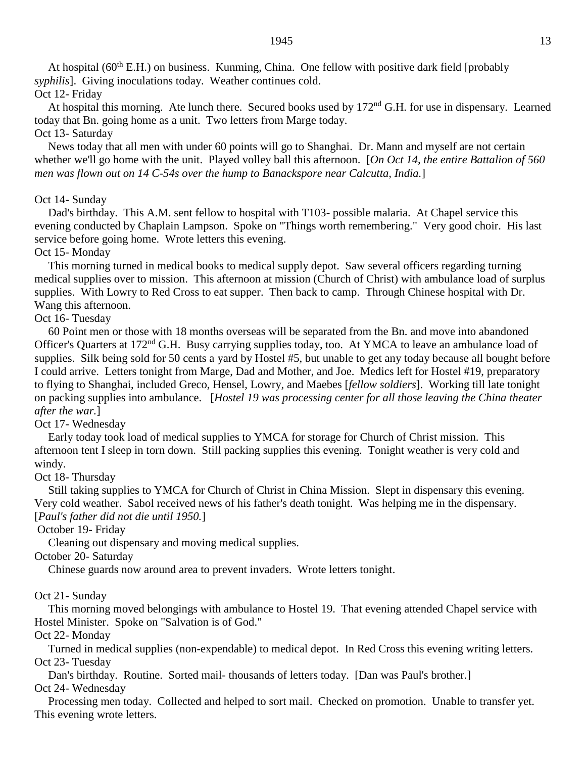At hospital ( $60<sup>th</sup>$  E.H.) on business. Kunming, China. One fellow with positive dark field [probably *syphilis*]. Giving inoculations today. Weather continues cold.

# Oct 12- Friday

At hospital this morning. Ate lunch there. Secured books used by 172<sup>nd</sup> G.H. for use in dispensary. Learned today that Bn. going home as a unit. Two letters from Marge today.

Oct 13- Saturday

News today that all men with under 60 points will go to Shanghai. Dr. Mann and myself are not certain whether we'll go home with the unit. Played volley ball this afternoon. [*On Oct 14, the entire Battalion of 560 men was flown out on 14 C-54s over the hump to Banackspore near Calcutta, India.*]

### Oct 14- Sunday

Dad's birthday. This A.M. sent fellow to hospital with T103- possible malaria. At Chapel service this evening conducted by Chaplain Lampson. Spoke on "Things worth remembering." Very good choir. His last service before going home. Wrote letters this evening.

### Oct 15- Monday

This morning turned in medical books to medical supply depot. Saw several officers regarding turning medical supplies over to mission. This afternoon at mission (Church of Christ) with ambulance load of surplus supplies. With Lowry to Red Cross to eat supper. Then back to camp. Through Chinese hospital with Dr. Wang this afternoon.

# Oct 16- Tuesday

60 Point men or those with 18 months overseas will be separated from the Bn. and move into abandoned Officer's Quarters at 172nd G.H. Busy carrying supplies today, too. At YMCA to leave an ambulance load of supplies. Silk being sold for 50 cents a yard by Hostel #5, but unable to get any today because all bought before I could arrive. Letters tonight from Marge, Dad and Mother, and Joe. Medics left for Hostel #19, preparatory to flying to Shanghai, included Greco, Hensel, Lowry, and Maebes [*fellow soldiers*]. Working till late tonight on packing supplies into ambulance. [*Hostel 19 was processing center for all those leaving the China theater after the war.*]

### Oct 17- Wednesday

Early today took load of medical supplies to YMCA for storage for Church of Christ mission. This afternoon tent I sleep in torn down. Still packing supplies this evening. Tonight weather is very cold and windy.

### Oct 18- Thursday

Still taking supplies to YMCA for Church of Christ in China Mission. Slept in dispensary this evening. Very cold weather. Sabol received news of his father's death tonight. Was helping me in the dispensary. [*Paul's father did not die until 1950.*]

### October 19- Friday

Cleaning out dispensary and moving medical supplies.

### October 20- Saturday

Chinese guards now around area to prevent invaders. Wrote letters tonight.

### Oct 21- Sunday

This morning moved belongings with ambulance to Hostel 19. That evening attended Chapel service with Hostel Minister. Spoke on "Salvation is of God."

### Oct 22- Monday

Turned in medical supplies (non-expendable) to medical depot. In Red Cross this evening writing letters. Oct 23- Tuesday

Dan's birthday. Routine. Sorted mail- thousands of letters today. [Dan was Paul's brother.] Oct 24- Wednesday

Processing men today. Collected and helped to sort mail. Checked on promotion. Unable to transfer yet. This evening wrote letters.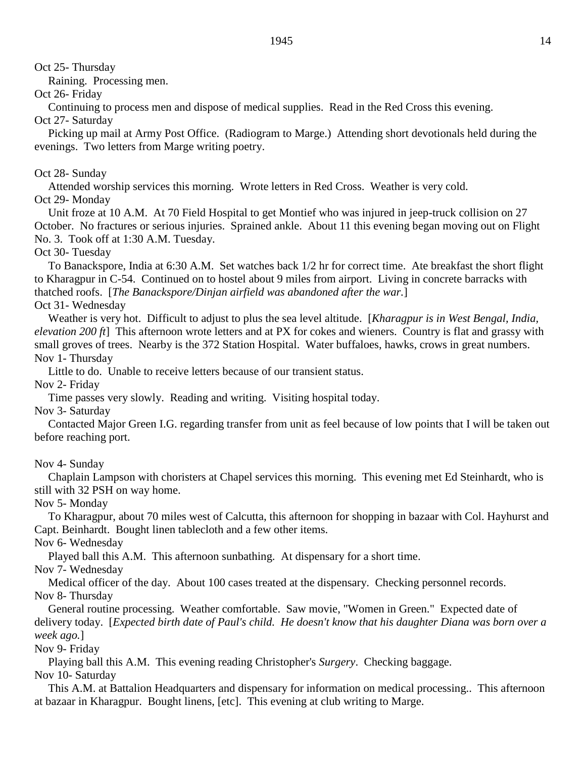Oct 25- Thursday

Raining. Processing men.

Oct 26- Friday

Continuing to process men and dispose of medical supplies. Read in the Red Cross this evening.

Oct 27- Saturday

Picking up mail at Army Post Office. (Radiogram to Marge.) Attending short devotionals held during the evenings. Two letters from Marge writing poetry.

# Oct 28- Sunday

Attended worship services this morning. Wrote letters in Red Cross. Weather is very cold. Oct 29- Monday

Unit froze at 10 A.M. At 70 Field Hospital to get Montief who was injured in jeep-truck collision on 27 October. No fractures or serious injuries. Sprained ankle. About 11 this evening began moving out on Flight No. 3. Took off at 1:30 A.M. Tuesday.

Oct 30- Tuesday

To Banackspore, India at 6:30 A.M. Set watches back 1/2 hr for correct time. Ate breakfast the short flight to Kharagpur in C-54. Continued on to hostel about 9 miles from airport. Living in concrete barracks with thatched roofs. [*The Banackspore/Dinjan airfield was abandoned after the war.*]

Oct 31- Wednesday

Weather is very hot. Difficult to adjust to plus the sea level altitude. [*Kharagpur is in West Bengal, India, elevation 200 ft*] This afternoon wrote letters and at PX for cokes and wieners. Country is flat and grassy with small groves of trees. Nearby is the 372 Station Hospital. Water buffaloes, hawks, crows in great numbers. Nov 1- Thursday

Little to do. Unable to receive letters because of our transient status.

Nov 2- Friday

Time passes very slowly. Reading and writing. Visiting hospital today.

Nov 3- Saturday

Contacted Major Green I.G. regarding transfer from unit as feel because of low points that I will be taken out before reaching port.

Nov 4- Sunday

Chaplain Lampson with choristers at Chapel services this morning. This evening met Ed Steinhardt, who is still with 32 PSH on way home.

Nov 5- Monday

To Kharagpur, about 70 miles west of Calcutta, this afternoon for shopping in bazaar with Col. Hayhurst and Capt. Beinhardt. Bought linen tablecloth and a few other items.

Nov 6- Wednesday

Played ball this A.M. This afternoon sunbathing. At dispensary for a short time.

Nov 7- Wednesday

Medical officer of the day. About 100 cases treated at the dispensary. Checking personnel records. Nov 8- Thursday

General routine processing. Weather comfortable. Saw movie, "Women in Green." Expected date of delivery today. [*Expected birth date of Paul's child. He doesn't know that his daughter Diana was born over a week ago.*]

Nov 9- Friday

Playing ball this A.M. This evening reading Christopher's *Surgery*. Checking baggage.

Nov 10- Saturday

This A.M. at Battalion Headquarters and dispensary for information on medical processing.. This afternoon at bazaar in Kharagpur. Bought linens, [etc]. This evening at club writing to Marge.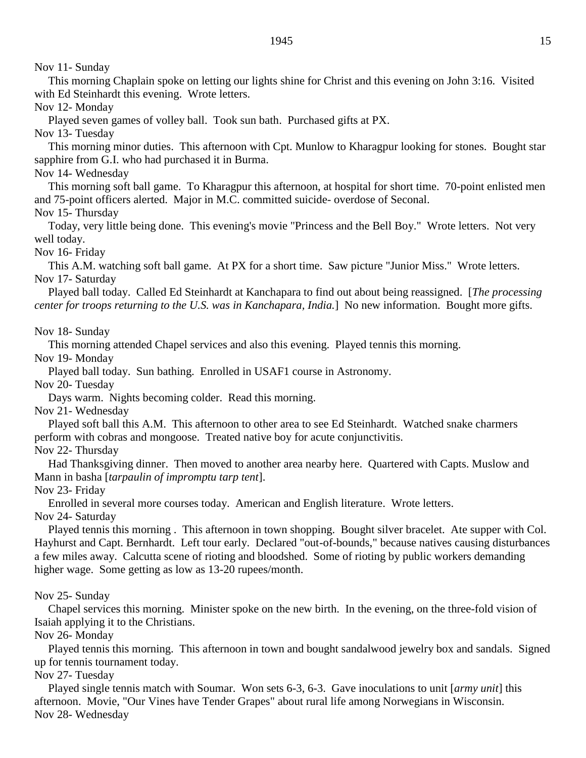Nov 11- Sunday

This morning Chaplain spoke on letting our lights shine for Christ and this evening on John 3:16. Visited with Ed Steinhardt this evening. Wrote letters.

Nov 12- Monday

Played seven games of volley ball. Took sun bath. Purchased gifts at PX.

Nov 13- Tuesday

This morning minor duties. This afternoon with Cpt. Munlow to Kharagpur looking for stones. Bought star sapphire from G.I. who had purchased it in Burma.

Nov 14- Wednesday

This morning soft ball game. To Kharagpur this afternoon, at hospital for short time. 70-point enlisted men and 75-point officers alerted. Major in M.C. committed suicide- overdose of Seconal.

Nov 15- Thursday

Today, very little being done. This evening's movie "Princess and the Bell Boy." Wrote letters. Not very well today.

Nov 16- Friday

This A.M. watching soft ball game. At PX for a short time. Saw picture "Junior Miss." Wrote letters. Nov 17- Saturday

Played ball today. Called Ed Steinhardt at Kanchapara to find out about being reassigned. [*The processing center for troops returning to the U.S. was in Kanchapara, India.*] No new information. Bought more gifts.

Nov 18- Sunday

This morning attended Chapel services and also this evening. Played tennis this morning.

Nov 19- Monday

Played ball today. Sun bathing. Enrolled in USAF1 course in Astronomy.

Nov 20- Tuesday

Days warm. Nights becoming colder. Read this morning.

Nov 21- Wednesday

Played soft ball this A.M. This afternoon to other area to see Ed Steinhardt. Watched snake charmers perform with cobras and mongoose. Treated native boy for acute conjunctivitis.

Nov 22- Thursday

Had Thanksgiving dinner. Then moved to another area nearby here. Quartered with Capts. Muslow and Mann in basha [*tarpaulin of impromptu tarp tent*].

Nov 23- Friday

Enrolled in several more courses today. American and English literature. Wrote letters.

Nov 24- Saturday

Played tennis this morning . This afternoon in town shopping. Bought silver bracelet. Ate supper with Col. Hayhurst and Capt. Bernhardt. Left tour early. Declared "out-of-bounds," because natives causing disturbances a few miles away. Calcutta scene of rioting and bloodshed. Some of rioting by public workers demanding higher wage. Some getting as low as 13-20 rupees/month.

Nov 25- Sunday

Chapel services this morning. Minister spoke on the new birth. In the evening, on the three-fold vision of Isaiah applying it to the Christians.

Nov 26- Monday

Played tennis this morning. This afternoon in town and bought sandalwood jewelry box and sandals. Signed up for tennis tournament today.

Nov 27- Tuesday

Played single tennis match with Soumar. Won sets 6-3, 6-3. Gave inoculations to unit [*army unit*] this afternoon. Movie, "Our Vines have Tender Grapes" about rural life among Norwegians in Wisconsin. Nov 28- Wednesday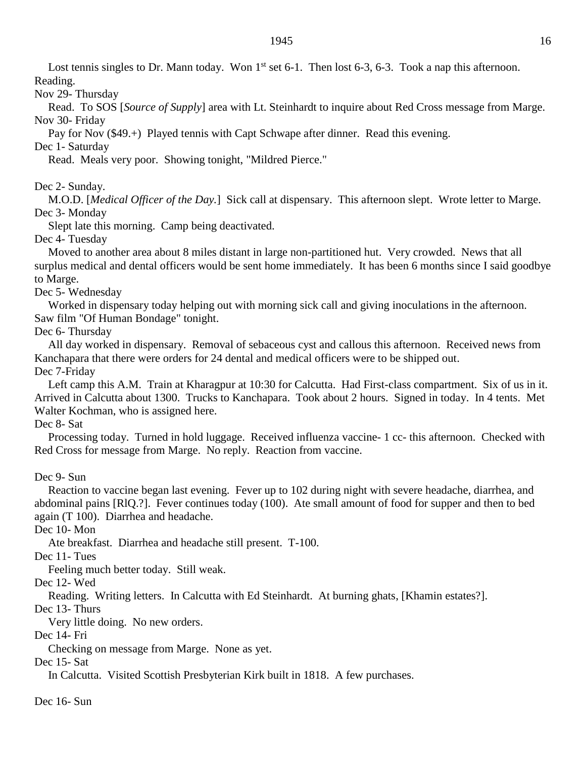Lost tennis singles to Dr. Mann today. Won  $1<sup>st</sup>$  set 6-1. Then lost 6-3, 6-3. Took a nap this afternoon.

Reading.

Nov 29- Thursday

Read. To SOS [*Source of Supply*] area with Lt. Steinhardt to inquire about Red Cross message from Marge. Nov 30- Friday

Pay for Nov (\$49.+) Played tennis with Capt Schwape after dinner. Read this evening.

Dec 1- Saturday

Read. Meals very poor. Showing tonight, "Mildred Pierce."

Dec 2- Sunday.

M.O.D. [*Medical Officer of the Day.*] Sick call at dispensary. This afternoon slept. Wrote letter to Marge. Dec 3- Monday

Slept late this morning. Camp being deactivated.

Dec 4- Tuesday

Moved to another area about 8 miles distant in large non-partitioned hut. Very crowded. News that all surplus medical and dental officers would be sent home immediately. It has been 6 months since I said goodbye to Marge.

Dec 5- Wednesday

Worked in dispensary today helping out with morning sick call and giving inoculations in the afternoon. Saw film "Of Human Bondage" tonight.

Dec 6- Thursday

All day worked in dispensary. Removal of sebaceous cyst and callous this afternoon. Received news from Kanchapara that there were orders for 24 dental and medical officers were to be shipped out. Dec 7-Friday

Left camp this A.M. Train at Kharagpur at 10:30 for Calcutta. Had First-class compartment. Six of us in it. Arrived in Calcutta about 1300. Trucks to Kanchapara. Took about 2 hours. Signed in today. In 4 tents. Met Walter Kochman, who is assigned here.

Dec 8- Sat

Processing today. Turned in hold luggage. Received influenza vaccine- 1 cc- this afternoon. Checked with Red Cross for message from Marge. No reply. Reaction from vaccine.

Dec 9- Sun

Reaction to vaccine began last evening. Fever up to 102 during night with severe headache, diarrhea, and abdominal pains [RlQ.?]. Fever continues today (100). Ate small amount of food for supper and then to bed again (T 100). Diarrhea and headache.

Dec 10-Mon

Ate breakfast. Diarrhea and headache still present. T-100.

Dec 11- Tues

Feeling much better today. Still weak.

Dec 12- Wed

Reading. Writing letters. In Calcutta with Ed Steinhardt. At burning ghats, [Khamin estates?].

Dec 13- Thurs

Very little doing. No new orders.

Dec 14- Fri

Checking on message from Marge. None as yet.

Dec 15- Sat

In Calcutta. Visited Scottish Presbyterian Kirk built in 1818. A few purchases.

Dec 16- Sun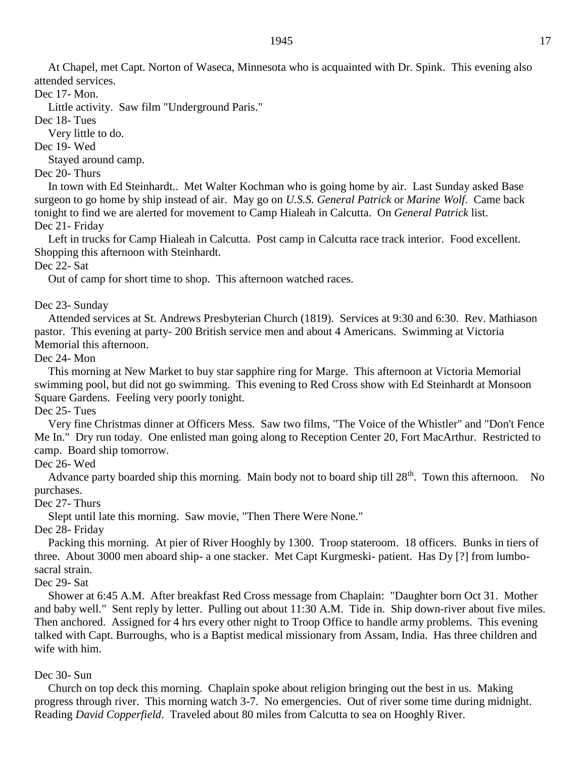At Chapel, met Capt. Norton of Waseca, Minnesota who is acquainted with Dr. Spink. This evening also attended services.

Dec 17- Mon.

Little activity. Saw film "Underground Paris."

Dec 18- Tues

Very little to do.

Dec 19- Wed

Stayed around camp.

Dec 20- Thurs

In town with Ed Steinhardt.. Met Walter Kochman who is going home by air. Last Sunday asked Base surgeon to go home by ship instead of air. May go on *U.S.S. General Patrick* or *Marine Wolf*. Came back tonight to find we are alerted for movement to Camp Hialeah in Calcutta. On *General Patrick* list. Dec 21- Friday

Left in trucks for Camp Hialeah in Calcutta. Post camp in Calcutta race track interior. Food excellent. Shopping this afternoon with Steinhardt.

Dec 22- Sat

Out of camp for short time to shop. This afternoon watched races.

Dec 23- Sunday

Attended services at St. Andrews Presbyterian Church (1819). Services at 9:30 and 6:30. Rev. Mathiason pastor. This evening at party- 200 British service men and about 4 Americans. Swimming at Victoria Memorial this afternoon.

# Dec 24- Mon

This morning at New Market to buy star sapphire ring for Marge. This afternoon at Victoria Memorial swimming pool, but did not go swimming. This evening to Red Cross show with Ed Steinhardt at Monsoon Square Gardens. Feeling very poorly tonight.

Dec 25- Tues

Very fine Christmas dinner at Officers Mess. Saw two films, "The Voice of the Whistler" and "Don't Fence Me In." Dry run today. One enlisted man going along to Reception Center 20, Fort MacArthur. Restricted to camp. Board ship tomorrow.

Dec 26- Wed

Advance party boarded ship this morning. Main body not to board ship till  $28<sup>th</sup>$ . Town this afternoon. No purchases.

Dec 27- Thurs

Slept until late this morning. Saw movie, "Then There Were None."

Dec 28- Friday

Packing this morning. At pier of River Hooghly by 1300. Troop stateroom. 18 officers. Bunks in tiers of three. About 3000 men aboard ship- a one stacker. Met Capt Kurgmeski- patient. Has Dy [?] from lumbosacral strain.

Dec 29- Sat

Shower at 6:45 A.M. After breakfast Red Cross message from Chaplain: "Daughter born Oct 31. Mother and baby well." Sent reply by letter. Pulling out about 11:30 A.M. Tide in. Ship down-river about five miles. Then anchored. Assigned for 4 hrs every other night to Troop Office to handle army problems. This evening talked with Capt. Burroughs, who is a Baptist medical missionary from Assam, India. Has three children and wife with him.

### Dec 30- Sun

Church on top deck this morning. Chaplain spoke about religion bringing out the best in us. Making progress through river. This morning watch 3-7. No emergencies. Out of river some time during midnight. Reading *David Copperfield*. Traveled about 80 miles from Calcutta to sea on Hooghly River.